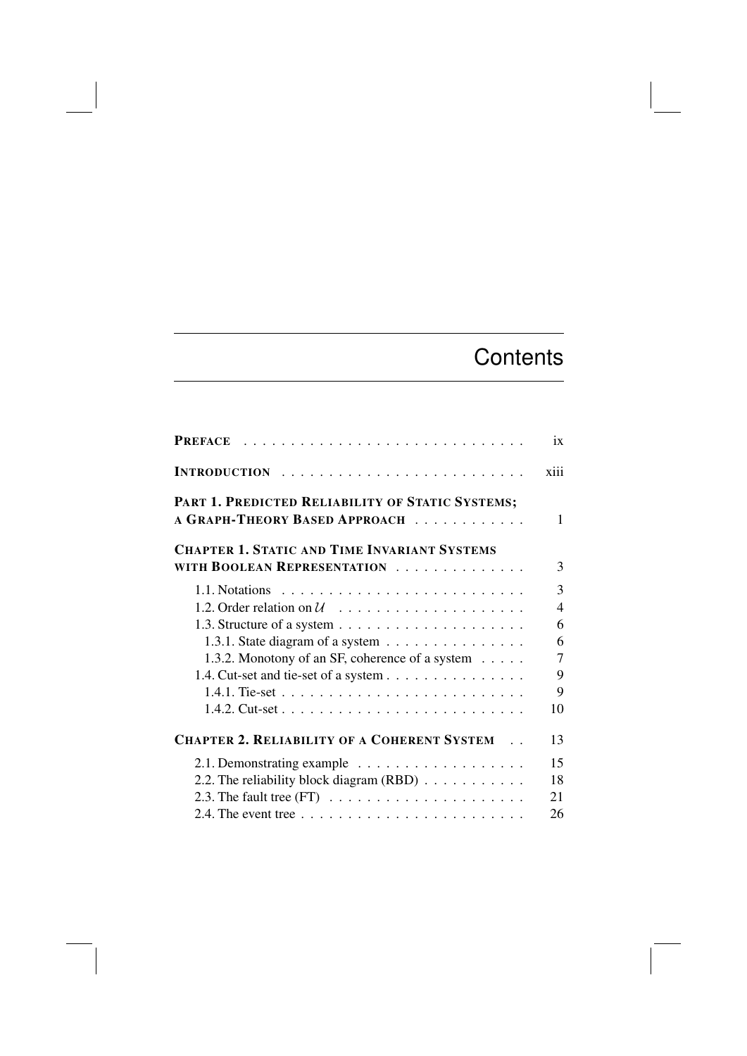## **Contents**

|                                                                                   | ix                    |
|-----------------------------------------------------------------------------------|-----------------------|
|                                                                                   | xiii                  |
| PART 1. PREDICTED RELIABILITY OF STATIC SYSTEMS;<br>A GRAPH-THEORY BASED APPROACH | $\mathbf{1}$          |
| <b>CHAPTER 1. STATIC AND TIME INVARIANT SYSTEMS</b>                               |                       |
| WITH BOOLEAN REPRESENTATION                                                       | 3                     |
|                                                                                   | 3                     |
| 1.2. Order relation on $\mathcal{U}$                                              | $\boldsymbol{\Delta}$ |
| 1.3. Structure of a system $\ldots \ldots \ldots \ldots \ldots \ldots$            | 6                     |
| 1.3.1. State diagram of a system                                                  | 6                     |
| 1.3.2. Monotony of an SF, coherence of a system                                   | $\overline{7}$        |
| 1.4. Cut-set and tie-set of a system                                              | 9                     |
|                                                                                   | 9                     |
|                                                                                   | 10                    |
| <b>CHAPTER 2. RELIABILITY OF A COHERENT SYSTEM</b>                                | 13                    |
|                                                                                   | 15                    |
| 2.2. The reliability block diagram (RBD)                                          | 18                    |
|                                                                                   | 21                    |
|                                                                                   | 26                    |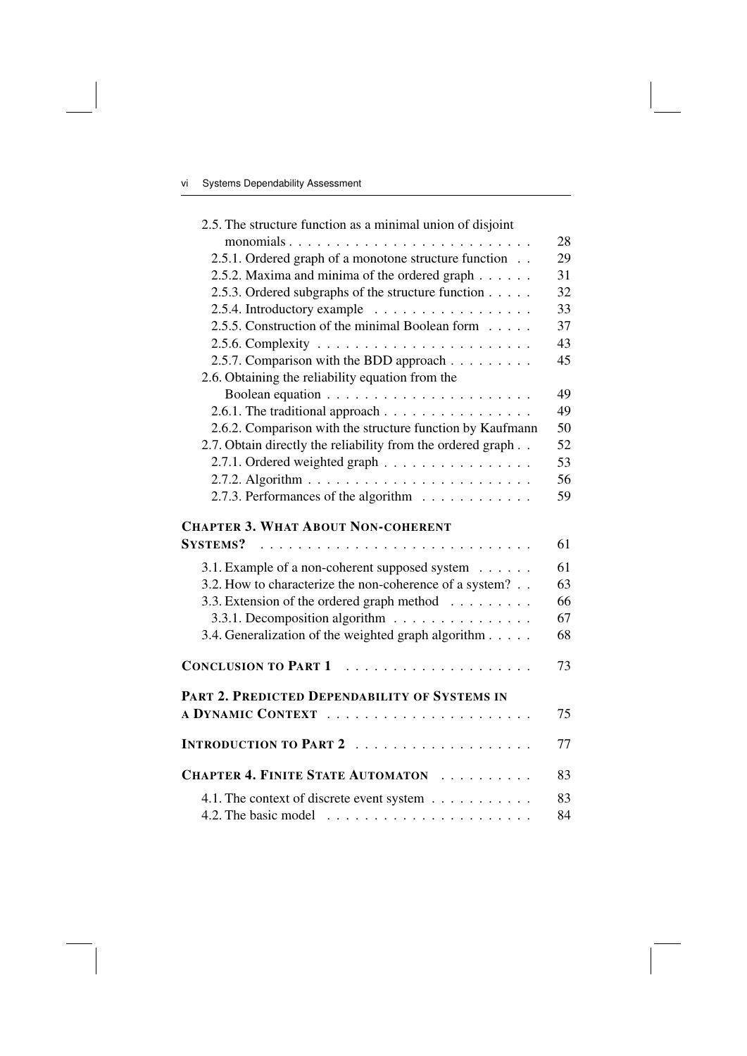| 2.5. The structure function as a minimal union of disjoint              |    |
|-------------------------------------------------------------------------|----|
| monomials                                                               | 28 |
| 2.5.1. Ordered graph of a monotone structure function                   | 29 |
| 2.5.2. Maxima and minima of the ordered graph                           | 31 |
| 2.5.3. Ordered subgraphs of the structure function                      | 32 |
| 2.5.4. Introductory example                                             | 33 |
| 2.5.5. Construction of the minimal Boolean form                         | 37 |
| 2.5.6. Complexity $\ldots \ldots \ldots \ldots \ldots \ldots \ldots$    | 43 |
| 2.5.7. Comparison with the BDD approach                                 | 45 |
| 2.6. Obtaining the reliability equation from the                        |    |
|                                                                         | 49 |
|                                                                         | 49 |
| 2.6.2. Comparison with the structure function by Kaufmann               | 50 |
| 2.7. Obtain directly the reliability from the ordered graph             | 52 |
| 2.7.1. Ordered weighted graph                                           | 53 |
|                                                                         | 56 |
| 2.7.3. Performances of the algorithm                                    | 59 |
| <b>CHAPTER 3. WHAT ABOUT NON-COHERENT</b>                               |    |
| <b>SYSTEMS?</b>                                                         | 61 |
| 3.1. Example of a non-coherent supposed system                          | 61 |
| 3.2. How to characterize the non-coherence of a system?                 | 63 |
| 3.3. Extension of the ordered graph method                              | 66 |
| 3.3.1. Decomposition algorithm                                          | 67 |
| 3.4. Generalization of the weighted graph algorithm                     | 68 |
|                                                                         | 73 |
|                                                                         |    |
| PART 2. PREDICTED DEPENDABILITY OF SYSTEMS IN                           |    |
|                                                                         | 75 |
|                                                                         | 77 |
| <b>CHAPTER 4. FINITE STATE AUTOMATON </b>                               | 83 |
| 4.1. The context of discrete event system                               | 83 |
| 4.2. The basic model $\ldots \ldots \ldots \ldots \ldots \ldots \ldots$ | 84 |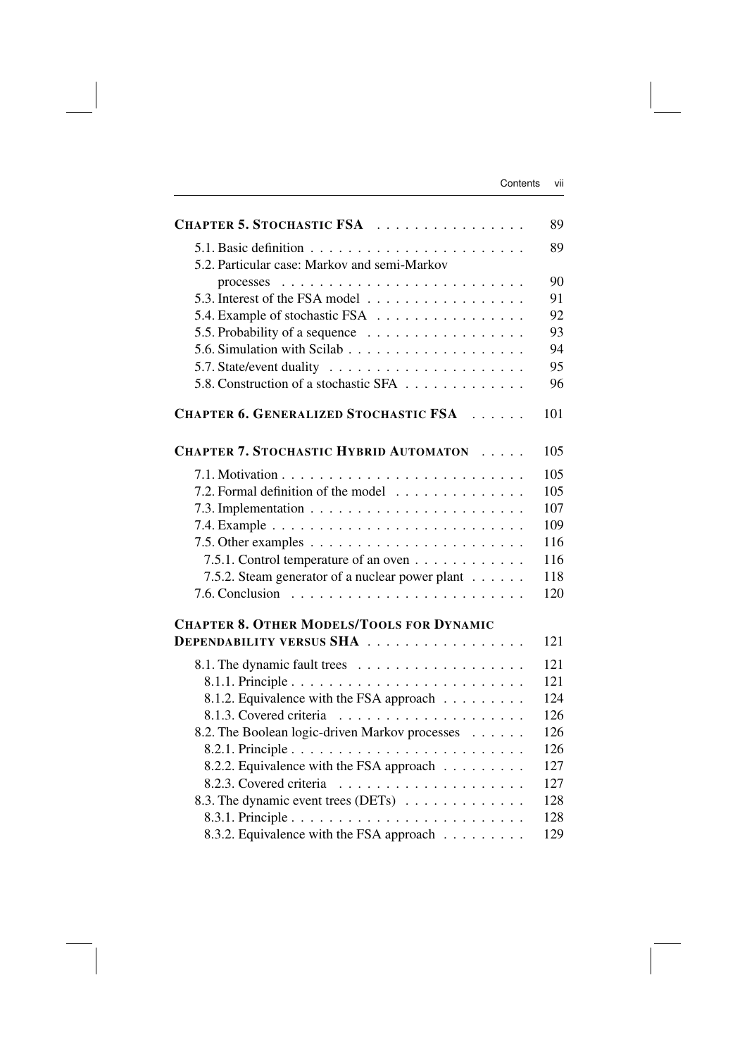| CHAPTER 5. STOCHASTIC FSA                                                                                                       | 89  |
|---------------------------------------------------------------------------------------------------------------------------------|-----|
| 5.1. Basic definition $\ldots \ldots \ldots \ldots \ldots \ldots \ldots \ldots$<br>5.2. Particular case: Markov and semi-Markov | 89  |
| processes $\ldots \ldots \ldots \ldots \ldots \ldots \ldots \ldots \ldots$                                                      | 90  |
| 5.3. Interest of the FSA model                                                                                                  | 91  |
| 5.4. Example of stochastic FSA                                                                                                  | 92  |
| 5.5. Probability of a sequence $\ldots \ldots \ldots \ldots \ldots$                                                             | 93  |
|                                                                                                                                 | 94  |
|                                                                                                                                 | 95  |
| 5.8. Construction of a stochastic SFA                                                                                           | 96  |
| <b>CHAPTER 6. GENERALIZED STOCHASTIC FSA </b>                                                                                   | 101 |
| CHAPTER 7. STOCHASTIC HYBRID AUTOMATON                                                                                          | 105 |
|                                                                                                                                 | 105 |
| 7.2. Formal definition of the model                                                                                             | 105 |
| 7.3. Implementation $\ldots \ldots \ldots \ldots \ldots \ldots \ldots$                                                          | 107 |
|                                                                                                                                 | 109 |
|                                                                                                                                 | 116 |
| 7.5.1. Control temperature of an oven                                                                                           | 116 |
| 7.5.2. Steam generator of a nuclear power plant                                                                                 | 118 |
|                                                                                                                                 | 120 |
| <b>CHAPTER 8. OTHER MODELS/TOOLS FOR DYNAMIC</b>                                                                                |     |
| DEPENDABILITY VERSUS SHA                                                                                                        | 121 |
|                                                                                                                                 | 121 |
|                                                                                                                                 | 121 |
| 8.1.2. Equivalence with the FSA approach                                                                                        | 124 |
|                                                                                                                                 | 126 |
| 8.2. The Boolean logic-driven Markov processes                                                                                  | 126 |
|                                                                                                                                 | 126 |
| 8.2.2. Equivalence with the FSA approach                                                                                        | 127 |
|                                                                                                                                 | 127 |
| 8.3. The dynamic event trees (DETs)                                                                                             | 128 |
|                                                                                                                                 | 128 |
| 8.3.2. Equivalence with the FSA approach                                                                                        | 129 |